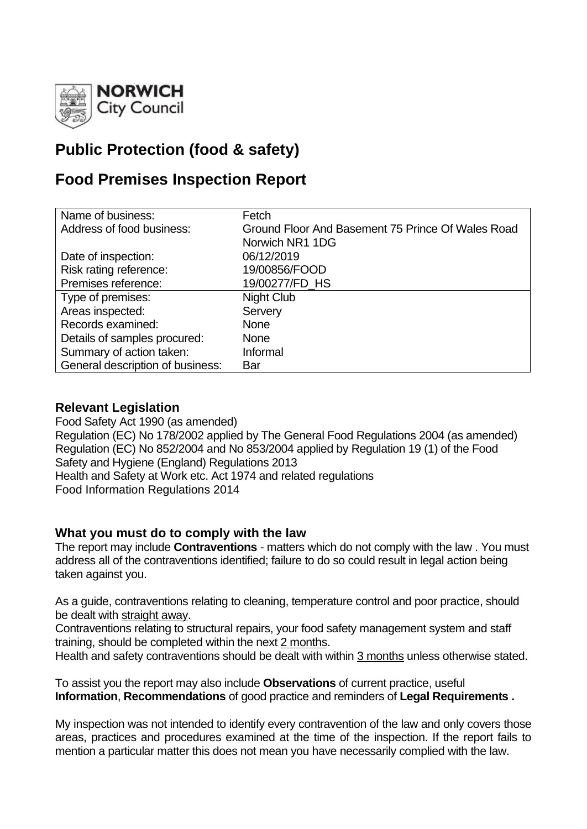

# **Public Protection (food & safety)**

## **Food Premises Inspection Report**

| Name of business:                | Fetch                                             |
|----------------------------------|---------------------------------------------------|
| Address of food business:        | Ground Floor And Basement 75 Prince Of Wales Road |
|                                  | Norwich NR1 1DG                                   |
| Date of inspection:              | 06/12/2019                                        |
| Risk rating reference:           | 19/00856/FOOD                                     |
| Premises reference:              | 19/00277/FD_HS                                    |
| Type of premises:                | Night Club                                        |
| Areas inspected:                 | Servery                                           |
| Records examined:                | <b>None</b>                                       |
| Details of samples procured:     | <b>None</b>                                       |
| Summary of action taken:         | Informal                                          |
| General description of business: | Bar                                               |

#### **Relevant Legislation**

Food Safety Act 1990 (as amended) Regulation (EC) No 178/2002 applied by The General Food Regulations 2004 (as amended) Regulation (EC) No 852/2004 and No 853/2004 applied by Regulation 19 (1) of the Food Safety and Hygiene (England) Regulations 2013 Health and Safety at Work etc. Act 1974 and related regulations Food Information Regulations 2014

## **What you must do to comply with the law**

The report may include **Contraventions** - matters which do not comply with the law . You must address all of the contraventions identified; failure to do so could result in legal action being taken against you.

As a guide, contraventions relating to cleaning, temperature control and poor practice, should be dealt with straight away.

Contraventions relating to structural repairs, your food safety management system and staff training, should be completed within the next 2 months.

Health and safety contraventions should be dealt with within 3 months unless otherwise stated.

To assist you the report may also include **Observations** of current practice, useful **Information**, **Recommendations** of good practice and reminders of **Legal Requirements .**

My inspection was not intended to identify every contravention of the law and only covers those areas, practices and procedures examined at the time of the inspection. If the report fails to mention a particular matter this does not mean you have necessarily complied with the law.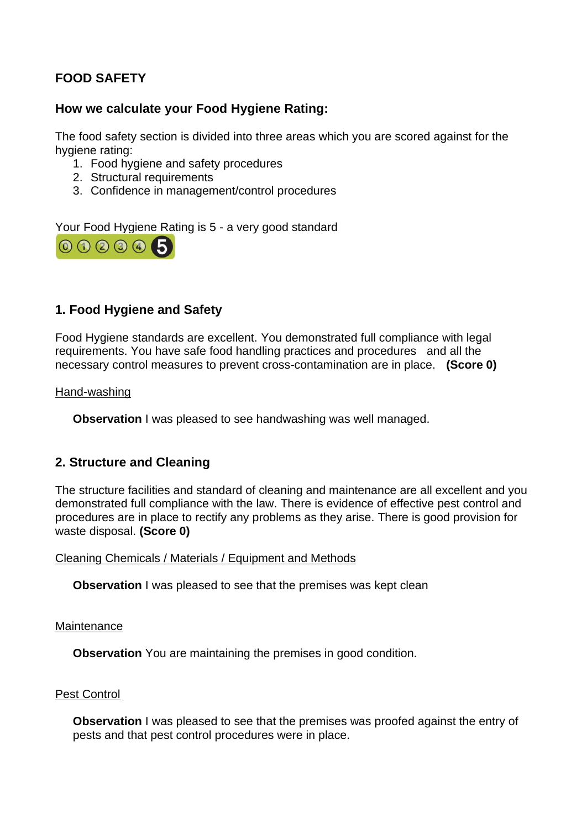## **FOOD SAFETY**

#### **How we calculate your Food Hygiene Rating:**

The food safety section is divided into three areas which you are scored against for the hygiene rating:

- 1. Food hygiene and safety procedures
- 2. Structural requirements
- 3. Confidence in management/control procedures

Your Food Hygiene Rating is 5 - a very good standard



## **1. Food Hygiene and Safety**

Food Hygiene standards are excellent. You demonstrated full compliance with legal requirements. You have safe food handling practices and procedures and all the necessary control measures to prevent cross-contamination are in place. **(Score 0)**

Hand-washing

**Observation** I was pleased to see handwashing was well managed.

#### **2. Structure and Cleaning**

The structure facilities and standard of cleaning and maintenance are all excellent and you demonstrated full compliance with the law. There is evidence of effective pest control and procedures are in place to rectify any problems as they arise. There is good provision for waste disposal. **(Score 0)**

Cleaning Chemicals / Materials / Equipment and Methods

**Observation** I was pleased to see that the premises was kept clean

#### **Maintenance**

**Observation** You are maintaining the premises in good condition.

#### Pest Control

**Observation** I was pleased to see that the premises was proofed against the entry of pests and that pest control procedures were in place.